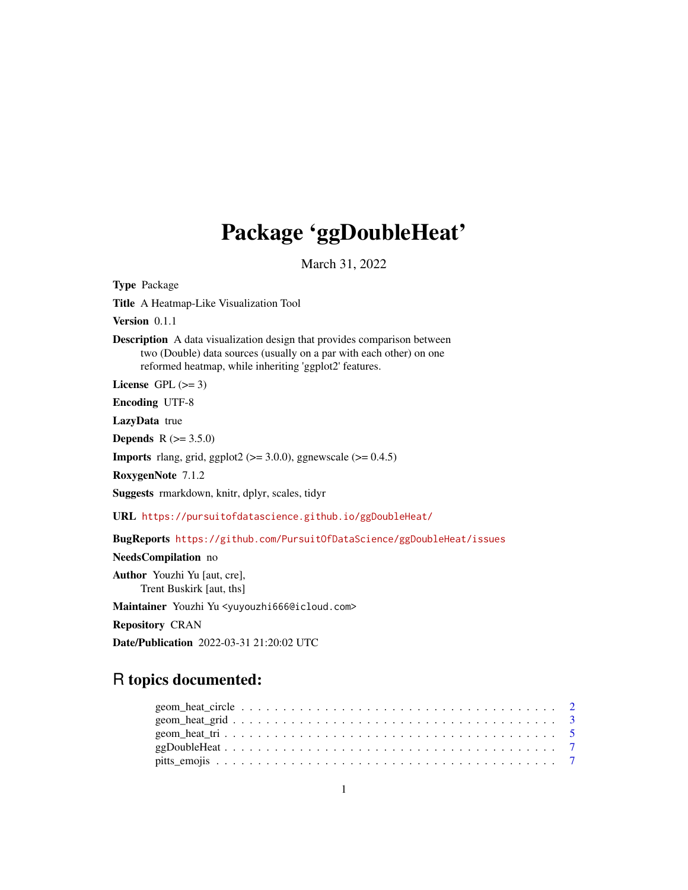## Package 'ggDoubleHeat'

March 31, 2022

Title A Heatmap-Like Visualization Tool Version 0.1.1 Description A data visualization design that provides comparison between two (Double) data sources (usually on a par with each other) on one reformed heatmap, while inheriting 'ggplot2' features. License GPL  $(>= 3)$ Encoding UTF-8 LazyData true **Depends** R  $(>= 3.5.0)$ **Imports** rlang, grid, ggplot2 ( $>= 3.0.0$ ), ggnewscale ( $>= 0.4.5$ ) RoxygenNote 7.1.2 Suggests rmarkdown, knitr, dplyr, scales, tidyr URL <https://pursuitofdatascience.github.io/ggDoubleHeat/> BugReports <https://github.com/PursuitOfDataScience/ggDoubleHeat/issues> NeedsCompilation no Author Youzhi Yu [aut, cre], Trent Buskirk [aut, ths] Maintainer Youzhi Yu <yuyouzhi666@icloud.com> Repository CRAN Date/Publication 2022-03-31 21:20:02 UTC

## R topics documented:

Type Package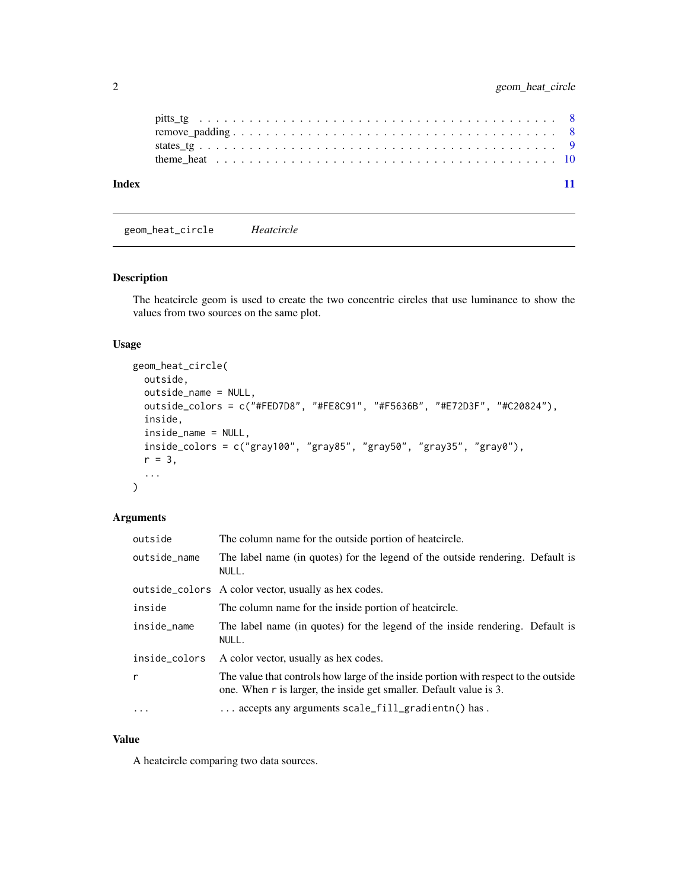<span id="page-1-0"></span>

| Index |  |  |  |  |  |  |  |  |  |  |  |  |  |  |  |  |  |
|-------|--|--|--|--|--|--|--|--|--|--|--|--|--|--|--|--|--|

geom\_heat\_circle *Heatcircle*

## Description

The heatcircle geom is used to create the two concentric circles that use luminance to show the values from two sources on the same plot.

#### Usage

```
geom_heat_circle(
 outside,
 outside_name = NULL,
 outside_colors = c("#FED7D8", "#FE8C91", "#F5636B", "#E72D3F", "#C20824"),
 inside,
 inside_name = NULL,
 inside_colors = c("gray100", "gray85", "gray50", "gray35", "gray0"),
 r = 3,
  ...
)
```
## Arguments

| outside       | The column name for the outside portion of heatcircle.                                                                                                    |
|---------------|-----------------------------------------------------------------------------------------------------------------------------------------------------------|
| outside_name  | The label name (in quotes) for the legend of the outside rendering. Default is<br>NULL.                                                                   |
|               | outside_colors A color vector, usually as hex codes.                                                                                                      |
| inside        | The column name for the inside portion of heatcircle.                                                                                                     |
| inside_name   | The label name (in quotes) for the legend of the inside rendering. Default is<br>NULL.                                                                    |
| inside_colors | A color vector, usually as hex codes.                                                                                                                     |
| r             | The value that controls how large of the inside portion with respect to the outside<br>one. When r is larger, the inside get smaller. Default value is 3. |
| $\cdots$      | $\ldots$ accepts any arguments scale_fill_gradientn() has.                                                                                                |

## Value

A heatcircle comparing two data sources.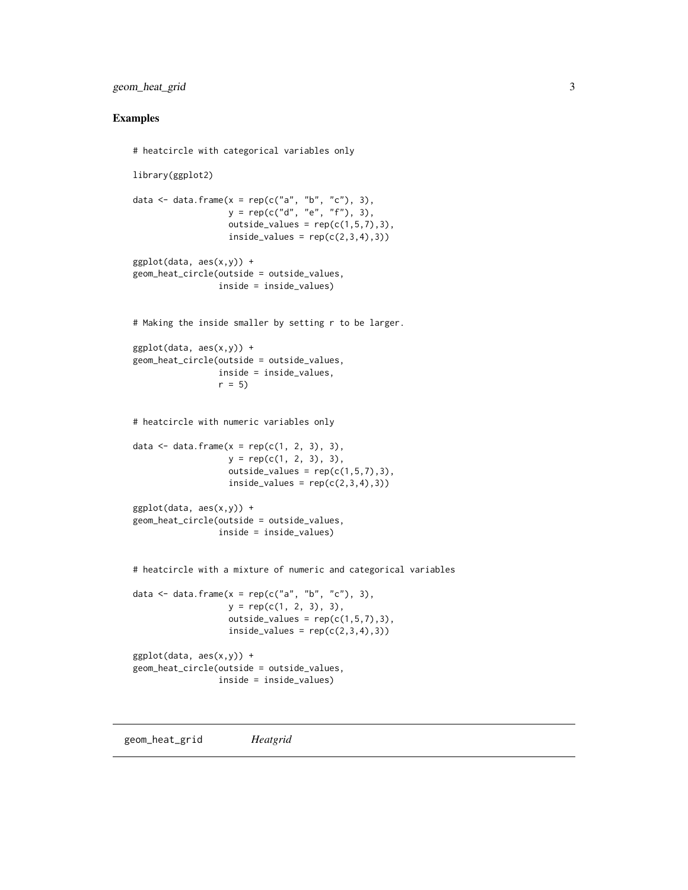## <span id="page-2-0"></span>geom\_heat\_grid 3

#### Examples

```
# heatcircle with categorical variables only
library(ggplot2)
data \leq data.frame(x = rep(c("a", "b", "c"), 3),
                  y = rep(c("d", "e", "f"), 3),outside_values = rep(c(1,5,7),3),
                   inside_values = rep(c(2,3,4),3))ggplot(data, aes(x,y)) +geom_heat_circle(outside = outside_values,
                 inside = inside_values)
# Making the inside smaller by setting r to be larger.
ggplot(data, aes(x,y)) +geom_heat_circle(outside = outside_values,
                 inside = inside_values,
                r = 5# heatcircle with numeric variables only
data \leq data.frame(x = rep(c(1, 2, 3), 3),
                  y = rep(c(1, 2, 3), 3),outside_values = rep(c(1,5,7),3),
                   inside_value = rep(c(2,3,4),3))ggplot(data, aes(x,y)) +geom_heat_circle(outside = outside_values,
                 inside = inside_values)
# heatcircle with a mixture of numeric and categorical variables
data <- data.frame(x = rep(c("a", "b", "c"), 3),
                  y = rep(c(1, 2, 3), 3),outside_values = rep(c(1,5,7),3),inside_value = rep(c(2,3,4),3))ggplot(data, aes(x,y)) +
geom_heat_circle(outside = outside_values,
                 inside = inside_values)
```
geom\_heat\_grid *Heatgrid*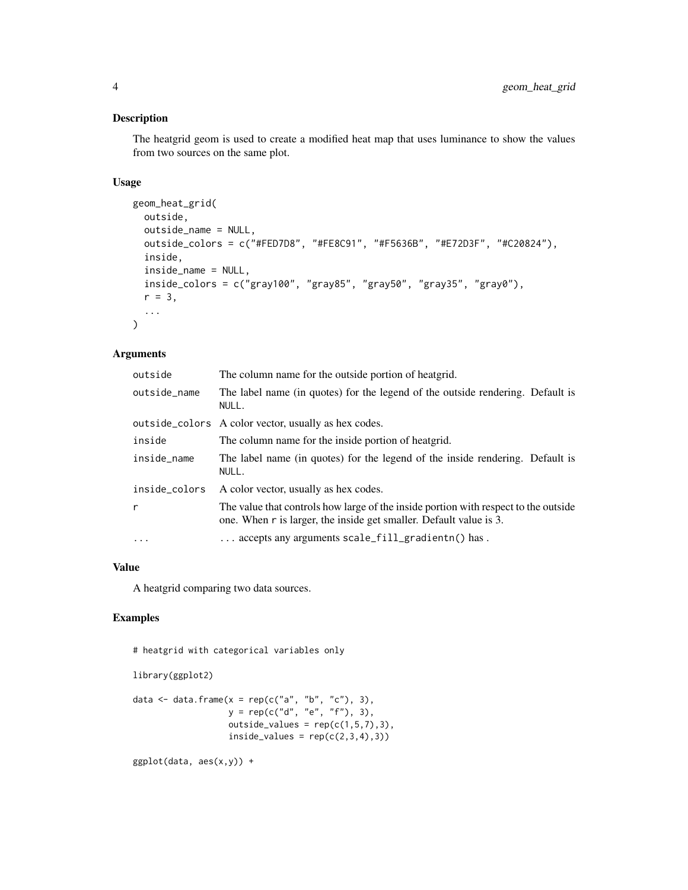## Description

The heatgrid geom is used to create a modified heat map that uses luminance to show the values from two sources on the same plot.

## Usage

```
geom_heat_grid(
 outside,
 outside_name = NULL,
  outside_colors = c("#FED7D8", "#FE8C91", "#F5636B", "#E72D3F", "#C20824"),
  inside,
  inside_name = NULL,
  inside_colors = c("gray100", "gray85", "gray50", "gray35", "gray0"),
  r = 3,
  ...
\mathcal{L}
```
## Arguments

| outside       | The column name for the outside portion of heatgrid.                                                                                                      |
|---------------|-----------------------------------------------------------------------------------------------------------------------------------------------------------|
| outside_name  | The label name (in quotes) for the legend of the outside rendering. Default is<br>NULL.                                                                   |
|               | outside_colors A color vector, usually as hex codes.                                                                                                      |
| inside        | The column name for the inside portion of heatgrid.                                                                                                       |
| inside_name   | The label name (in quotes) for the legend of the inside rendering. Default is<br>NULL.                                                                    |
| inside_colors | A color vector, usually as hex codes.                                                                                                                     |
| r             | The value that controls how large of the inside portion with respect to the outside<br>one. When r is larger, the inside get smaller. Default value is 3. |
| $\ddots$      | $\ldots$ accepts any arguments scale_fill_gradientn() has.                                                                                                |

#### Value

A heatgrid comparing two data sources.

## Examples

```
# heatgrid with categorical variables only
```

```
library(ggplot2)
```

```
data \leq data.frame(x = rep(c("a", "b", "c"), 3),
                   y = rep(c("d", "e", "f"), 3),
                  outside_values = rep(c(1,5,7),3),inside_value = rep(c(2,3,4),3))
```
 $ggplot(data, aes(x,y)) +$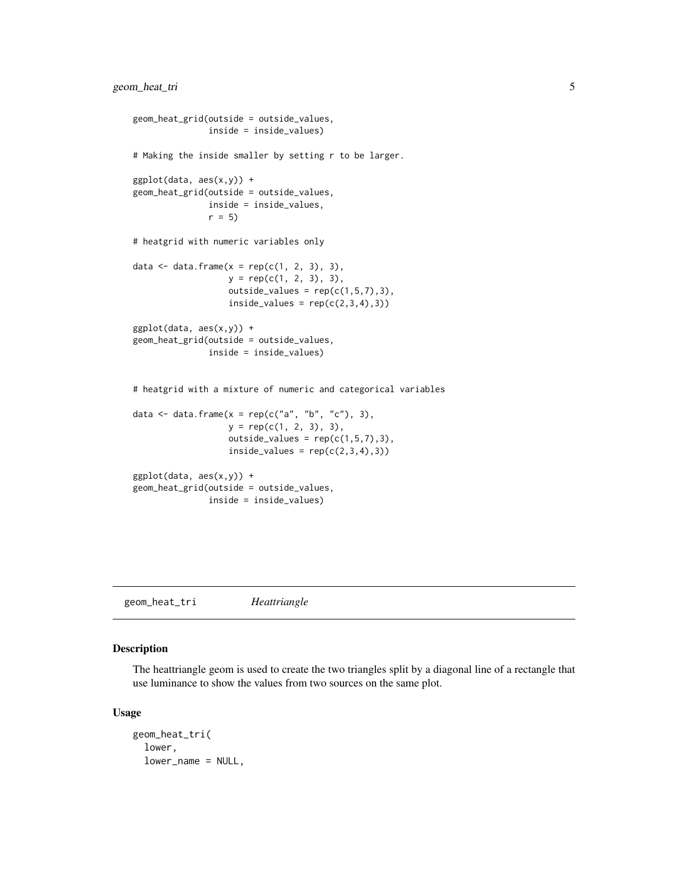```
geom_heat_grid(outside = outside_values,
               inside = inside_values)
# Making the inside smaller by setting r to be larger.
ggplot(data, aes(x,y)) +
geom_heat_grid(outside = outside_values,
              inside = inside_values,
              r = 5# heatgrid with numeric variables only
data \leq data.frame(x = rep(c(1, 2, 3), 3),
                  y = rep(c(1, 2, 3), 3),outside_values = rep(c(1,5,7),3),inside_value = rep(c(2,3,4),3))ggplot(data, aes(x,y)) +
geom_heat_grid(outside = outside_values,
               inside = inside_values)
# heatgrid with a mixture of numeric and categorical variables
data \leq data.frame(x = rep(c("a", "b", "c"), 3),
                   y = rep(c(1, 2, 3), 3),outside_values = rep(c(1,5,7),3),inside_value = rep(c(2,3,4),3))ggplot(data, aes(x,y)) +
geom_heat_grid(outside = outside_values,
              inside = inside_values)
```
geom\_heat\_tri *Heattriangle*

#### Description

The heattriangle geom is used to create the two triangles split by a diagonal line of a rectangle that use luminance to show the values from two sources on the same plot.

#### Usage

```
geom_heat_tri(
  lower,
  lower_name = NULL,
```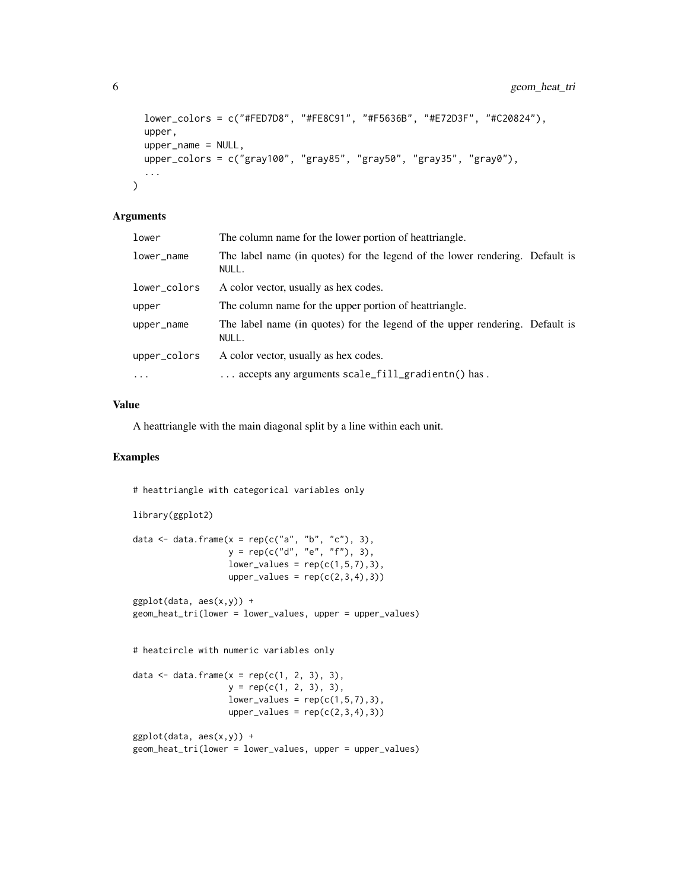```
lower_colors = c("#FED7D8", "#FE8C91", "#F5636B", "#E72D3F", "#C20824"),
upper,
upper_name = NULL,
upper_colors = c("gray100", "gray85", "gray50", "gray35", "gray0"),
...
```
#### Arguments

 $\mathcal{L}$ 

| lower        | The column name for the lower portion of heattriangle.                                |  |
|--------------|---------------------------------------------------------------------------------------|--|
| lower_name   | The label name (in quotes) for the legend of the lower rendering. Default is<br>NULL. |  |
| lower_colors | A color vector, usually as hex codes.                                                 |  |
| upper        | The column name for the upper portion of heattriangle.                                |  |
| upper_name   | The label name (in quotes) for the legend of the upper rendering. Default is<br>NULL. |  |
| upper_colors | A color vector, usually as hex codes.                                                 |  |
| $\cdots$     | $\ldots$ accepts any arguments scale_fill_gradientn() has.                            |  |

#### Value

A heattriangle with the main diagonal split by a line within each unit.

### Examples

# heattriangle with categorical variables only

```
library(ggplot2)
data \leq data.frame(x = rep(c("a", "b", "c"), 3),
                   y = rep(c("d", "e", "f"), 3),
                  lower_values = rep(c(1,5,7),3),upper_values = rep(c(2,3,4),3))ggplot(data, aes(x,y)) +geom_heat_tri(lower = lower_values, upper = upper_values)
# heatcircle with numeric variables only
data \leq data.frame(x = rep(c(1, 2, 3), 3),
                  y = rep(c(1, 2, 3), 3),lower_values = rep(c(1,5,7),3),upper_values = rep(c(2,3,4),3))ggplot(data, aes(x,y)) +geom_heat_tri(lower = lower_values, upper = upper_values)
```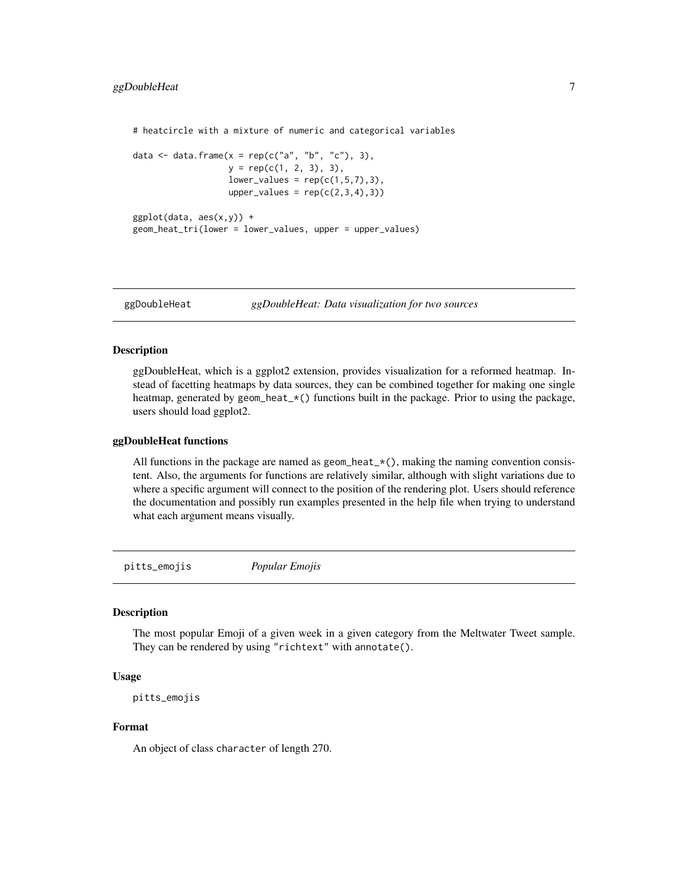<span id="page-6-0"></span># heatcircle with a mixture of numeric and categorical variables

```
data <- data.frame(x = rep(c("a", "b", "c"), 3),
                  y = rep(c(1, 2, 3), 3),lower_values = rep(c(1,5,7),3),upper_values = rep(c(2,3,4),3))ggplot(data, aes(x,y)) +
```

```
geom_heat_tri(lower = lower_values, upper = upper_values)
```
ggDoubleHeat *ggDoubleHeat: Data visualization for two sources*

#### **Description**

ggDoubleHeat, which is a ggplot2 extension, provides visualization for a reformed heatmap. Instead of facetting heatmaps by data sources, they can be combined together for making one single heatmap, generated by geom\_heat\_\*() functions built in the package. Prior to using the package, users should load ggplot2.

#### ggDoubleHeat functions

All functions in the package are named as geom\_heat\_ $\star$ (), making the naming convention consistent. Also, the arguments for functions are relatively similar, although with slight variations due to where a specific argument will connect to the position of the rendering plot. Users should reference the documentation and possibly run examples presented in the help file when trying to understand what each argument means visually.

pitts\_emojis *Popular Emojis*

#### Description

The most popular Emoji of a given week in a given category from the Meltwater Tweet sample. They can be rendered by using "richtext" with annotate().

#### Usage

```
pitts_emojis
```
#### Format

An object of class character of length 270.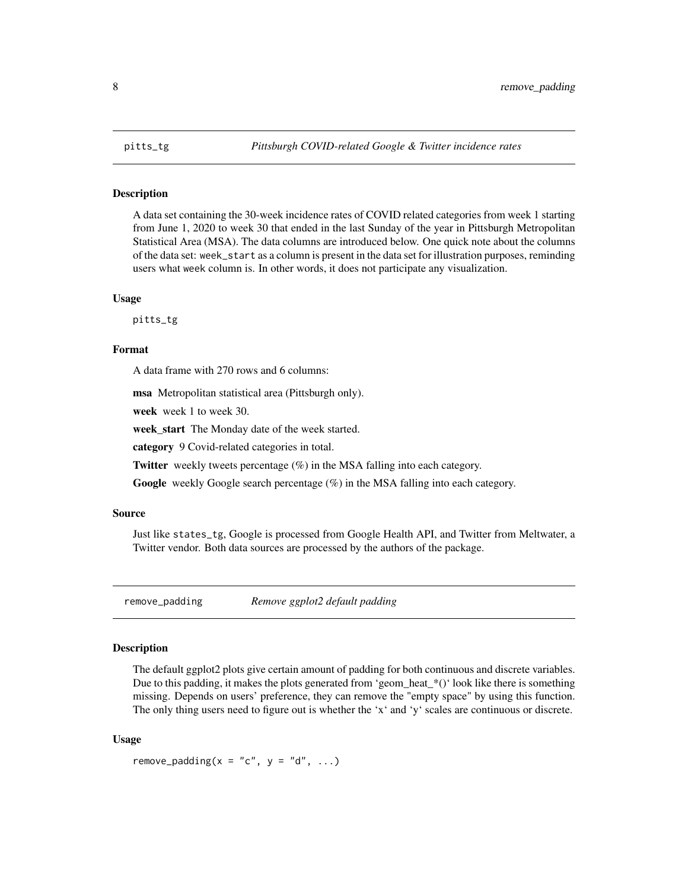<span id="page-7-0"></span>

#### Description

A data set containing the 30-week incidence rates of COVID related categories from week 1 starting from June 1, 2020 to week 30 that ended in the last Sunday of the year in Pittsburgh Metropolitan Statistical Area (MSA). The data columns are introduced below. One quick note about the columns of the data set: week\_start as a column is present in the data set for illustration purposes, reminding users what week column is. In other words, it does not participate any visualization.

#### Usage

pitts\_tg

#### Format

A data frame with 270 rows and 6 columns:

msa Metropolitan statistical area (Pittsburgh only).

week week 1 to week 30.

week\_start The Monday date of the week started.

category 9 Covid-related categories in total.

**Twitter** weekly tweets percentage  $(\%)$  in the MSA falling into each category.

Google weekly Google search percentage (%) in the MSA falling into each category.

#### Source

Just like states\_tg, Google is processed from Google Health API, and Twitter from Meltwater, a Twitter vendor. Both data sources are processed by the authors of the package.

remove\_padding *Remove ggplot2 default padding*

## Description

The default ggplot2 plots give certain amount of padding for both continuous and discrete variables. Due to this padding, it makes the plots generated from 'geom\_heat\_\*()' look like there is something missing. Depends on users' preference, they can remove the "empty space" by using this function. The only thing users need to figure out is whether the 'x' and 'y' scales are continuous or discrete.

#### Usage

remove\_padding( $x = "c", y = "d", ...$ )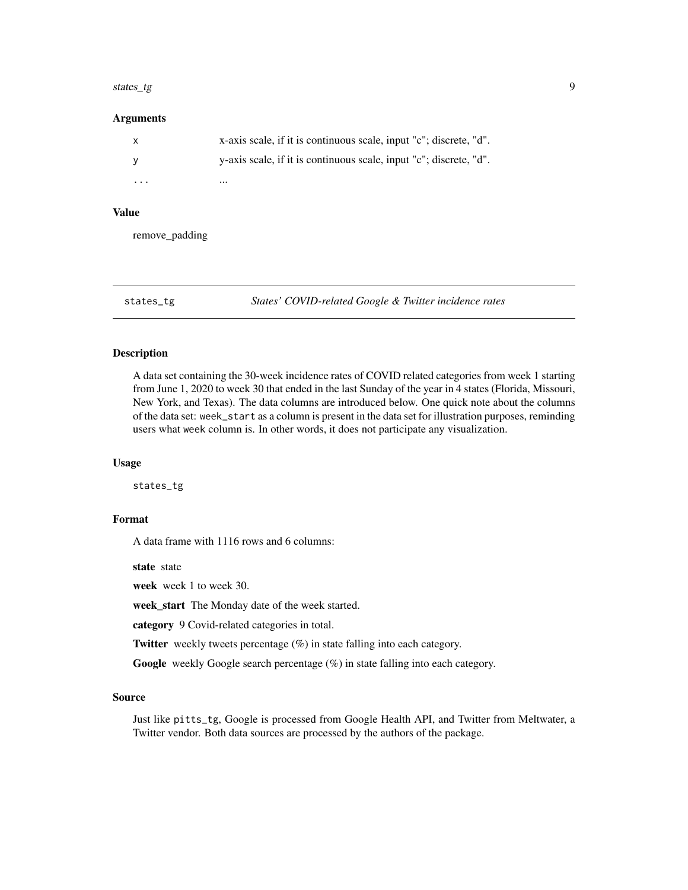#### <span id="page-8-0"></span>states\_tg 9

#### Arguments

|                         | x-axis scale, if it is continuous scale, input "c"; discrete, "d". |
|-------------------------|--------------------------------------------------------------------|
|                         | y-axis scale, if it is continuous scale, input "c"; discrete, "d". |
| $\cdot$ $\cdot$ $\cdot$ | $\cdots$                                                           |

#### Value

remove\_padding

states\_tg *States' COVID-related Google & Twitter incidence rates*

#### Description

A data set containing the 30-week incidence rates of COVID related categories from week 1 starting from June 1, 2020 to week 30 that ended in the last Sunday of the year in 4 states (Florida, Missouri, New York, and Texas). The data columns are introduced below. One quick note about the columns of the data set: week\_start as a column is present in the data set for illustration purposes, reminding users what week column is. In other words, it does not participate any visualization.

#### Usage

states\_tg

## Format

A data frame with 1116 rows and 6 columns:

state state

week week 1 to week 30.

week\_start The Monday date of the week started.

category 9 Covid-related categories in total.

Twitter weekly tweets percentage (%) in state falling into each category.

Google weekly Google search percentage (%) in state falling into each category.

#### Source

Just like pitts\_tg, Google is processed from Google Health API, and Twitter from Meltwater, a Twitter vendor. Both data sources are processed by the authors of the package.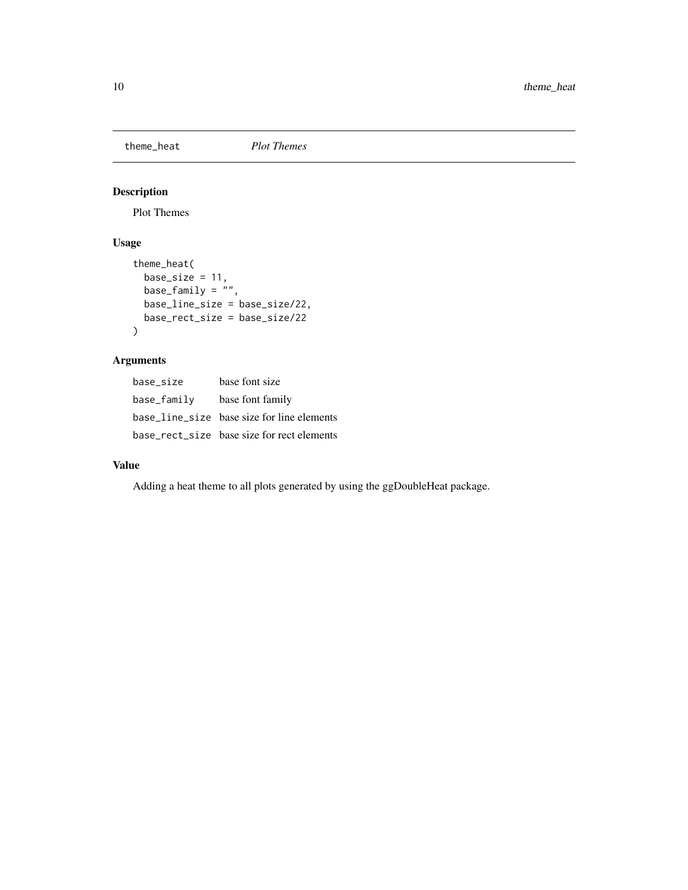<span id="page-9-0"></span>theme\_heat *Plot Themes*

## Description

Plot Themes

## Usage

```
theme_heat(
  base_size = 11,
  base_family = \overset{\prime}{''}",
  base_line_size = base_size/22,
  base_rect_size = base_size/22
\mathcal{L}
```
## Arguments

| base size   | base font size                             |
|-------------|--------------------------------------------|
| base_family | base font family                           |
|             | base_line_size base size for line elements |
|             | base_rect_size base size for rect elements |

## Value

Adding a heat theme to all plots generated by using the ggDoubleHeat package.